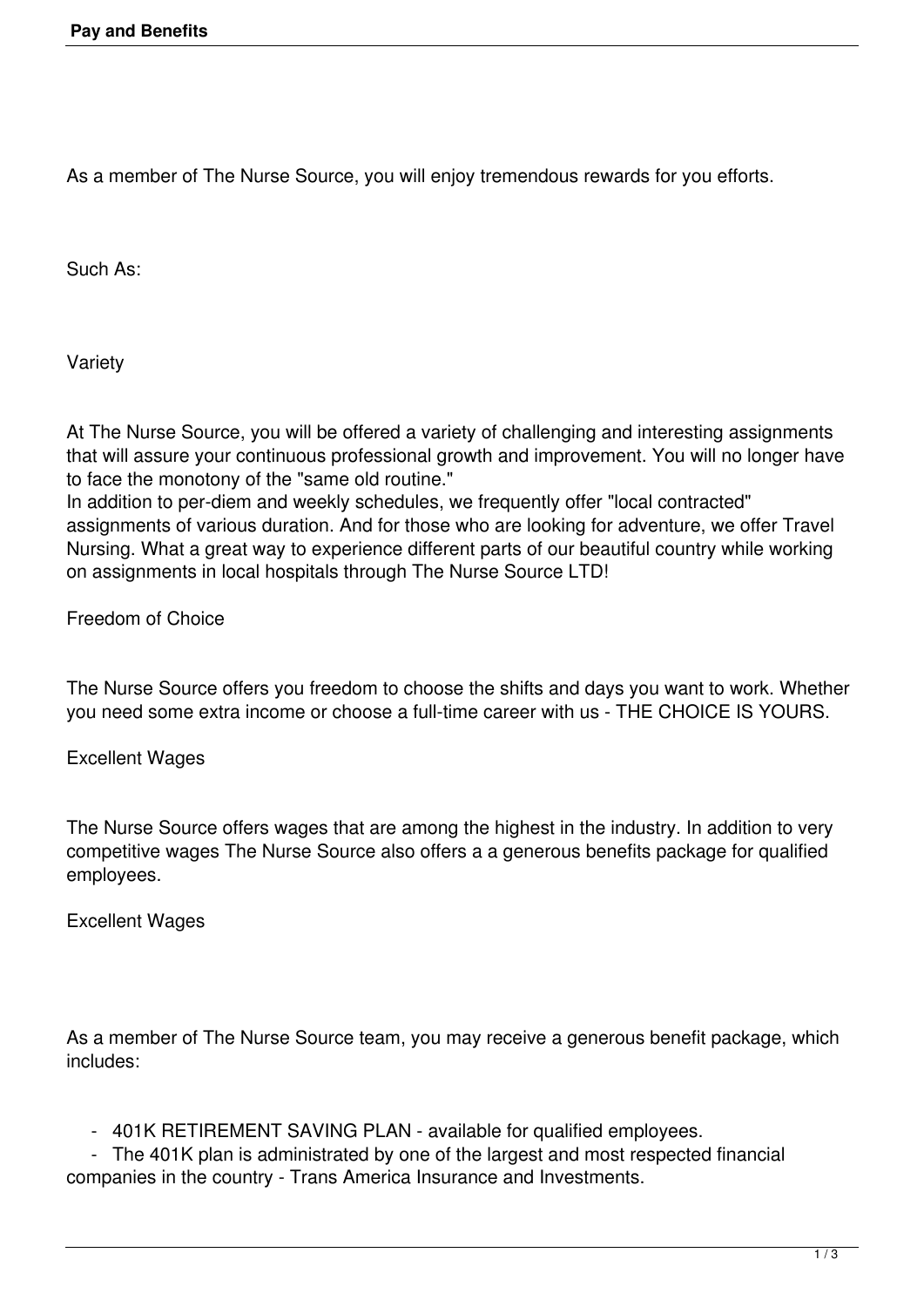As a member of The Nurse Source, you will enjoy tremendous rewards for you efforts.

Such As:

Variety

At The Nurse Source, you will be offered a variety of challenging and interesting assignments that will assure your continuous professional growth and improvement. You will no longer have to face the monotony of the "same old routine."

In addition to per-diem and weekly schedules, we frequently offer "local contracted" assignments of various duration. And for those who are looking for adventure, we offer Travel Nursing. What a great way to experience different parts of our beautiful country while working on assignments in local hospitals through The Nurse Source LTD!

Freedom of Choice

The Nurse Source offers you freedom to choose the shifts and days you want to work. Whether you need some extra income or choose a full-time career with us - THE CHOICE IS YOURS.

Excellent Wages

The Nurse Source offers wages that are among the highest in the industry. In addition to very competitive wages The Nurse Source also offers a a generous benefits package for qualified employees.

Excellent Wages

As a member of The Nurse Source team, you may receive a generous benefit package, which includes:

- 401K RETIREMENT SAVING PLAN - available for qualified employees.

 - The 401K plan is administrated by one of the largest and most respected financial companies in the country - Trans America Insurance and Investments.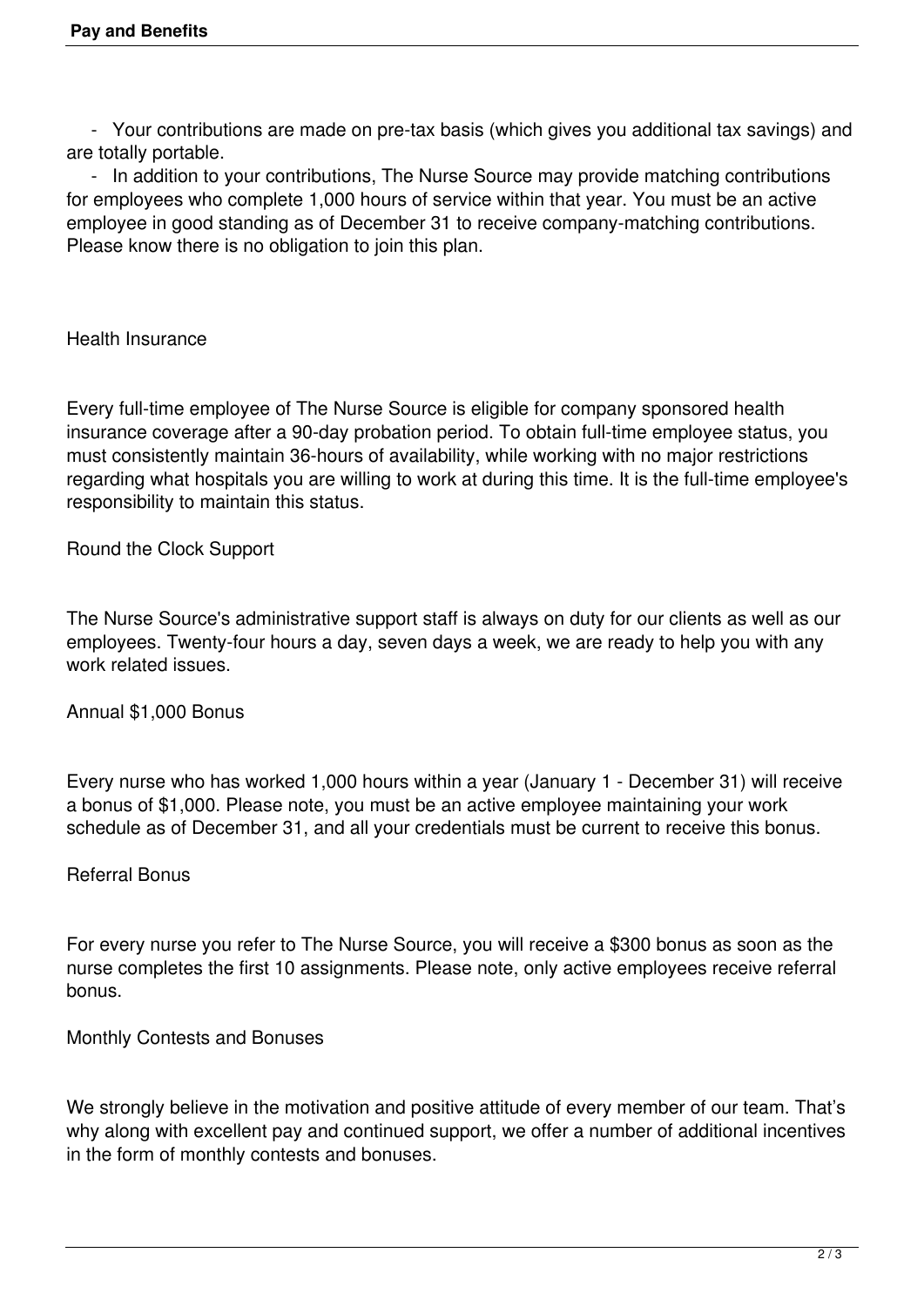- Your contributions are made on pre-tax basis (which gives you additional tax savings) and are totally portable.

 - In addition to your contributions, The Nurse Source may provide matching contributions for employees who complete 1,000 hours of service within that year. You must be an active employee in good standing as of December 31 to receive company-matching contributions. Please know there is no obligation to join this plan.

Health Insurance

Every full-time employee of The Nurse Source is eligible for company sponsored health insurance coverage after a 90-day probation period. To obtain full-time employee status, you must consistently maintain 36-hours of availability, while working with no major restrictions regarding what hospitals you are willing to work at during this time. It is the full-time employee's responsibility to maintain this status.

Round the Clock Support

The Nurse Source's administrative support staff is always on duty for our clients as well as our employees. Twenty-four hours a day, seven days a week, we are ready to help you with any work related issues.

Annual \$1,000 Bonus

Every nurse who has worked 1,000 hours within a year (January 1 - December 31) will receive a bonus of \$1,000. Please note, you must be an active employee maintaining your work schedule as of December 31, and all your credentials must be current to receive this bonus.

## Referral Bonus

For every nurse you refer to The Nurse Source, you will receive a \$300 bonus as soon as the nurse completes the first 10 assignments. Please note, only active employees receive referral bonus.

Monthly Contests and Bonuses

We strongly believe in the motivation and positive attitude of every member of our team. That's why along with excellent pay and continued support, we offer a number of additional incentives in the form of monthly contests and bonuses.